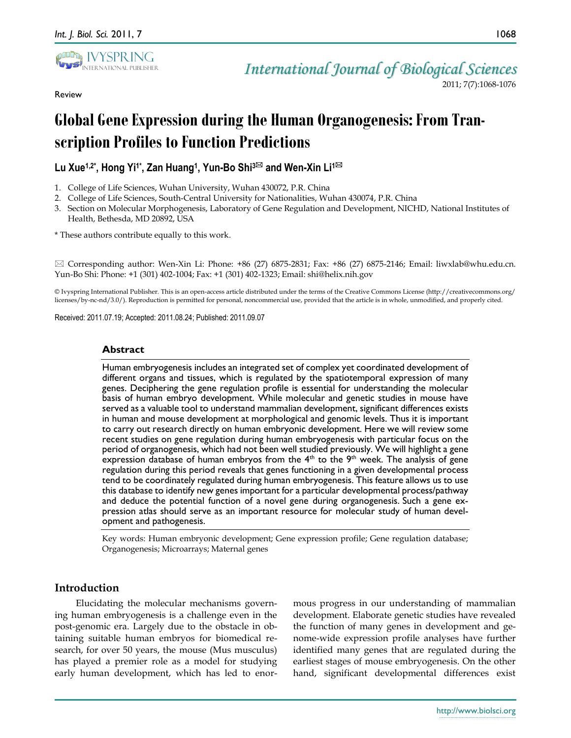

Review

# **Global Gene Expression during the Human Organogenesis: From Transcription Profiles to Function Predictions**

## **Lu Xue1,2\* , Hong Yi1\*, Zan Huang<sup>1</sup> , Yun-Bo Shi3 and Wen-Xin Li1**

- 1. College of Life Sciences, Wuhan University, Wuhan 430072, P.R. China
- 2. College of Life Sciences, South-Central University for Nationalities, Wuhan 430074, P.R. China
- 3. Section on Molecular Morphogenesis, Laboratory of Gene Regulation and Development, NICHD, National Institutes of Health, Bethesda, MD 20892, USA
- \* These authors contribute equally to this work.

 $\boxtimes$  Corresponding author: Wen-Xin Li: Phone: +86 (27) 6875-2831; Fax: +86 (27) 6875-2146; Email: liwxlab@whu.edu.cn. Yun-Bo Shi: Phone: +1 (301) 402-1004; Fax: +1 (301) 402-1323; Email: shi@helix.nih.gov

© Ivyspring International Publisher. This is an open-access article distributed under the terms of the Creative Commons License (http://creativecommons.org/ licenses/by-nc-nd/3.0/). Reproduction is permitted for personal, noncommercial use, provided that the article is in whole, unmodified, and properly cited.

Received: 2011.07.19; Accepted: 2011.08.24; Published: 2011.09.07

#### **Abstract**

Human embryogenesis includes an integrated set of complex yet coordinated development of different organs and tissues, which is regulated by the spatiotemporal expression of many genes. Deciphering the gene regulation profile is essential for understanding the molecular basis of human embryo development. While molecular and genetic studies in mouse have served as a valuable tool to understand mammalian development, significant differences exists in human and mouse development at morphological and genomic levels. Thus it is important to carry out research directly on human embryonic development. Here we will review some recent studies on gene regulation during human embryogenesis with particular focus on the period of organogenesis, which had not been well studied previously. We will highlight a gene expression database of human embryos from the  $4<sup>th</sup>$  to the  $9<sup>th</sup>$  week. The analysis of gene regulation during this period reveals that genes functioning in a given developmental process tend to be coordinately regulated during human embryogenesis. This feature allows us to use this database to identify new genes important for a particular developmental process/pathway and deduce the potential function of a novel gene during organogenesis. Such a gene expression atlas should serve as an important resource for molecular study of human development and pathogenesis.

Key words: Human embryonic development; Gene expression profile; Gene regulation database; Organogenesis; Microarrays; Maternal genes

#### **Introduction**

Elucidating the molecular mechanisms governing human embryogenesis is a challenge even in the post-genomic era. Largely due to the obstacle in obtaining suitable human embryos for biomedical research, for over 50 years, the mouse (Mus musculus) has played a premier role as a model for studying early human development, which has led to enormous progress in our understanding of mammalian development. Elaborate genetic studies have revealed the function of many genes in development and genome-wide expression profile analyses have further identified many genes that are regulated during the earliest stages of mouse embryogenesis. On the other hand, significant developmental differences exist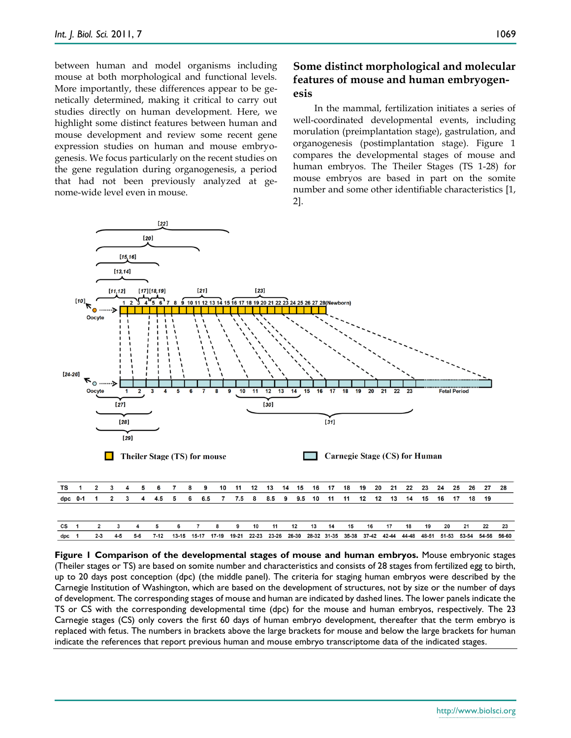between human and model organisms including mouse at both morphological and functional levels. More importantly, these differences appear to be genetically determined, making it critical to carry out studies directly on human development. Here, we highlight some distinct features between human and mouse development and review some recent gene expression studies on human and mouse embryogenesis. We focus particularly on the recent studies on the gene regulation during organogenesis, a period that had not been previously analyzed at genome-wide level even in mouse.

## **Some distinct morphological and molecular features of mouse and human embryogenesis**

In the mammal, fertilization initiates a series of well-coordinated developmental events, including morulation (preimplantation stage), gastrulation, and organogenesis (postimplantation stage). Figure 1 compares the developmental stages of mouse and human embryos. The Theiler Stages (TS 1-28) for mouse embryos are based in part on the somite number and some other identifiable characteristics [1, 2].



**Figure 1 Comparison of the developmental stages of mouse and human embryos.** Mouse embryonic stages (Theiler stages or TS) are based on somite number and characteristics and consists of 28 stages from fertilized egg to birth, up to 20 days post conception (dpc) (the middle panel). The criteria for staging human embryos were described by the Carnegie Institution of Washington, which are based on the development of structures, not by size or the number of days of development. The corresponding stages of mouse and human are indicated by dashed lines. The lower panels indicate the TS or CS with the corresponding developmental time (dpc) for the mouse and human embryos, respectively. The 23 Carnegie stages (CS) only covers the first 60 days of human embryo development, thereafter that the term embryo is replaced with fetus. The numbers in brackets above the large brackets for mouse and below the large brackets for human indicate the references that report previous human and mouse embryo transcriptome data of the indicated stages.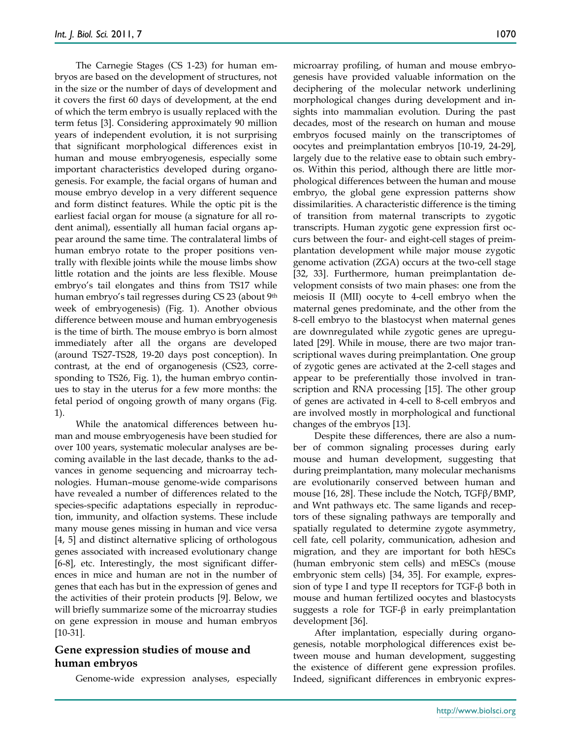The Carnegie Stages (CS 1-23) for human embryos are based on the development of structures, not in the size or the number of days of development and it covers the first 60 days of development, at the end of which the term embryo is usually replaced with the term fetus [3]. Considering approximately 90 million years of independent evolution, it is not surprising that significant morphological differences exist in human and mouse embryogenesis, especially some important characteristics developed during organogenesis. For example, the facial organs of human and mouse embryo develop in a very different sequence and form distinct features. While the optic pit is the earliest facial organ for mouse (a signature for all rodent animal), essentially all human facial organs appear around the same time. The contralateral limbs of human embryo rotate to the proper positions ventrally with flexible joints while the mouse limbs show little rotation and the joints are less flexible. Mouse embryo's tail elongates and thins from TS17 while human embryo's tail regresses during CS 23 (about 9th week of embryogenesis) (Fig. 1). Another obvious difference between mouse and human embryogenesis is the time of birth. The mouse embryo is born almost immediately after all the organs are developed (around TS27-TS28, 19-20 days post conception). In contrast, at the end of organogenesis (CS23, corresponding to TS26, Fig. 1), the human embryo continues to stay in the uterus for a few more months: the fetal period of ongoing growth of many organs (Fig. 1).

While the anatomical differences between human and mouse embryogenesis have been studied for over 100 years, systematic molecular analyses are becoming available in the last decade, thanks to the advances in genome sequencing and microarray technologies. Human–mouse genome-wide comparisons have revealed a number of differences related to the species-specific adaptations especially in reproduction, immunity, and olfaction systems. These include many mouse genes missing in human and vice versa [4, 5] and distinct alternative splicing of orthologous genes associated with increased evolutionary change [6-8], etc. Interestingly, the most significant differences in mice and human are not in the number of genes that each has but in the expression of genes and the activities of their protein products [9]. Below, we will briefly summarize some of the microarray studies on gene expression in mouse and human embryos [10-31].

## **Gene expression studies of mouse and human embryos**

Genome-wide expression analyses, especially

microarray profiling, of human and mouse embryogenesis have provided valuable information on the deciphering of the molecular network underlining morphological changes during development and insights into mammalian evolution. During the past decades, most of the research on human and mouse embryos focused mainly on the transcriptomes of oocytes and preimplantation embryos [10-19, 24-29], largely due to the relative ease to obtain such embryos. Within this period, although there are little morphological differences between the human and mouse embryo, the global gene expression patterns show dissimilarities. A characteristic difference is the timing of transition from maternal transcripts to zygotic transcripts. Human zygotic gene expression first occurs between the four- and eight-cell stages of preimplantation development while major mouse zygotic genome activation (ZGA) occurs at the two-cell stage [32, 33]. Furthermore, human preimplantation development consists of two main phases: one from the meiosis II (MII) oocyte to 4-cell embryo when the maternal genes predominate, and the other from the 8-cell embryo to the blastocyst when maternal genes are downregulated while zygotic genes are upregulated [29]. While in mouse, there are two major transcriptional waves during preimplantation. One group of zygotic genes are activated at the 2-cell stages and appear to be preferentially those involved in transcription and RNA processing [15]. The other group of genes are activated in 4-cell to 8-cell embryos and are involved mostly in morphological and functional changes of the embryos [13].

Despite these differences, there are also a number of common signaling processes during early mouse and human development, suggesting that during preimplantation, many molecular mechanisms are evolutionarily conserved between human and mouse [16, 28]. These include the Notch,  $TGFβ/BMP$ , and Wnt pathways etc. The same ligands and receptors of these signaling pathways are temporally and spatially regulated to determine zygote asymmetry, cell fate, cell polarity, communication, adhesion and migration, and they are important for both hESCs (human embryonic stem cells) and mESCs (mouse embryonic stem cells) [34, 35]. For example, expression of type I and type II receptors for TGF-β both in mouse and human fertilized oocytes and blastocysts suggests a role for TGF- $β$  in early preimplantation development [36].

After implantation, especially during organogenesis, notable morphological differences exist between mouse and human development, suggesting the existence of different gene expression profiles. Indeed, significant differences in embryonic expres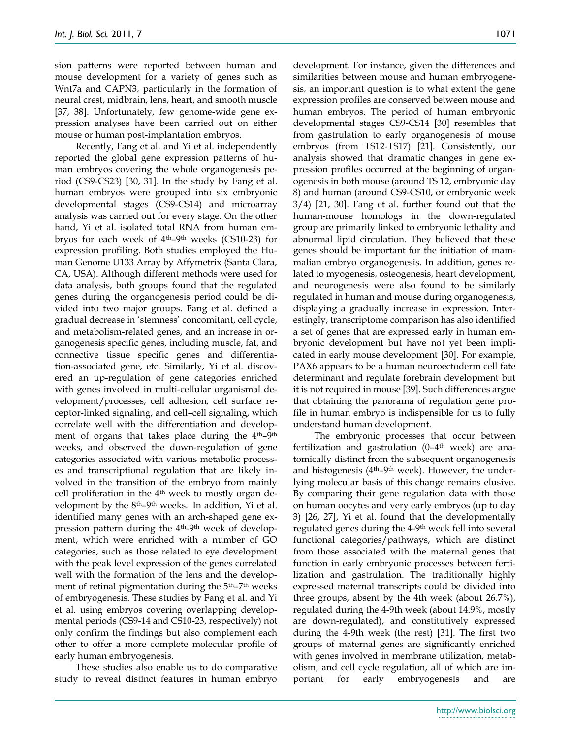sion patterns were reported between human and mouse development for a variety of genes such as Wnt7a and CAPN3, particularly in the formation of neural crest, midbrain, lens, heart, and smooth muscle [37, 38]. Unfortunately, few genome-wide gene expression analyses have been carried out on either mouse or human post-implantation embryos.

Recently, Fang et al. and Yi et al. independently reported the global gene expression patterns of human embryos covering the whole organogenesis period (CS9-CS23) [30, 31]. In the study by Fang et al. human embryos were grouped into six embryonic developmental stages (CS9-CS14) and microarray analysis was carried out for every stage. On the other hand, Yi et al. isolated total RNA from human embryos for each week of  $4<sup>th</sup>-9<sup>th</sup>$  weeks (CS10-23) for expression profiling. Both studies employed the Human Genome U133 Array by Affymetrix (Santa Clara, CA, USA). Although different methods were used for data analysis, both groups found that the regulated genes during the organogenesis period could be divided into two major groups. Fang et al. defined a gradual decrease in 'stemness' concomitant, cell cycle, and metabolism-related genes, and an increase in organogenesis specific genes, including muscle, fat, and connective tissue specific genes and differentiation-associated gene, etc. Similarly, Yi et al. discovered an up-regulation of gene categories enriched with genes involved in multi-cellular organismal development/processes, cell adhesion, cell surface receptor-linked signaling, and cell–cell signaling, which correlate well with the differentiation and development of organs that takes place during the 4<sup>th</sup>-9<sup>th</sup> weeks, and observed the down-regulation of gene categories associated with various metabolic processes and transcriptional regulation that are likely involved in the transition of the embryo from mainly cell proliferation in the  $4<sup>th</sup>$  week to mostly organ development by the 8<sup>th</sup>–9<sup>th</sup> weeks. In addition, Yi et al. identified many genes with an arch-shaped gene expression pattern during the 4<sup>th</sup>-9<sup>th</sup> week of development, which were enriched with a number of GO categories, such as those related to eye development with the peak level expression of the genes correlated well with the formation of the lens and the development of retinal pigmentation during the 5<sup>th</sup>-7<sup>th</sup> weeks of embryogenesis. These studies by Fang et al. and Yi et al. using embryos covering overlapping developmental periods (CS9-14 and CS10-23, respectively) not only confirm the findings but also complement each other to offer a more complete molecular profile of early human embryogenesis.

These studies also enable us to do comparative study to reveal distinct features in human embryo development. For instance, given the differences and similarities between mouse and human embryogenesis, an important question is to what extent the gene expression profiles are conserved between mouse and human embryos. The period of human embryonic developmental stages CS9-CS14 [30] resembles that from gastrulation to early organogenesis of mouse embryos (from TS12-TS17) [21]. Consistently, our analysis showed that dramatic changes in gene expression profiles occurred at the beginning of organogenesis in both mouse (around TS 12, embryonic day 8) and human (around CS9-CS10, or embryonic week 3/4) [21, 30]. Fang et al. further found out that the human-mouse homologs in the down-regulated group are primarily linked to embryonic lethality and abnormal lipid circulation. They believed that these genes should be important for the initiation of mammalian embryo organogenesis. In addition, genes related to myogenesis, osteogenesis, heart development, and neurogenesis were also found to be similarly regulated in human and mouse during organogenesis, displaying a gradually increase in expression. Interestingly, transcriptome comparison has also identified a set of genes that are expressed early in human em-

file in human embryo is indispensible for us to fully understand human development. The embryonic processes that occur between fertilization and gastrulation  $(0-4<sup>th</sup>$  week) are anatomically distinct from the subsequent organogenesis and histogenesis (4<sup>th</sup>–9<sup>th</sup> week). However, the underlying molecular basis of this change remains elusive. By comparing their gene regulation data with those on human oocytes and very early embryos (up to day 3) [26, 27], Yi et al. found that the developmentally regulated genes during the 4-9 th week fell into several functional categories/pathways, which are distinct from those associated with the maternal genes that function in early embryonic processes between fertilization and gastrulation. The traditionally highly expressed maternal transcripts could be divided into three groups, absent by the 4th week (about 26.7%), regulated during the 4-9th week (about 14.9%, mostly are down-regulated), and constitutively expressed during the 4-9th week (the rest) [31]. The first two groups of maternal genes are significantly enriched with genes involved in membrane utilization, metabolism, and cell cycle regulation, all of which are important for early embryogenesis and are

bryonic development but have not yet been implicated in early mouse development [30]. For example, PAX6 appears to be a human neuroectoderm cell fate determinant and regulate forebrain development but it is not required in mouse [39]. Such differences argue that obtaining the panorama of regulation gene pro-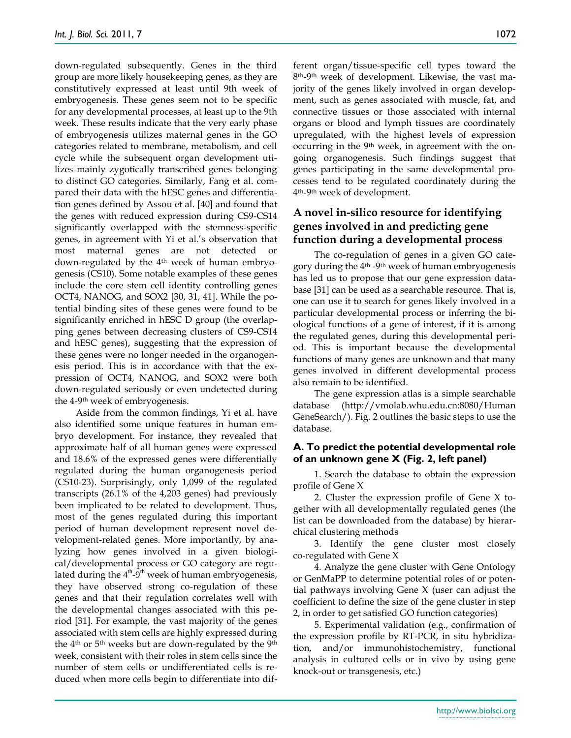down-regulated subsequently. Genes in the third group are more likely housekeeping genes, as they are constitutively expressed at least until 9th week of embryogenesis. These genes seem not to be specific for any developmental processes, at least up to the 9th week. These results indicate that the very early phase of embryogenesis utilizes maternal genes in the GO categories related to membrane, metabolism, and cell cycle while the subsequent organ development utilizes mainly zygotically transcribed genes belonging to distinct GO categories. Similarly, Fang et al. compared their data with the hESC genes and differentiation genes defined by Assou et al. [40] and found that the genes with reduced expression during CS9-CS14 significantly overlapped with the stemness-specific genes, in agreement with Yi et al.'s observation that most maternal genes are not detected or down-regulated by the 4 th week of human embryogenesis (CS10). Some notable examples of these genes include the core stem cell identity controlling genes OCT4, NANOG, and SOX2 [30, 31, 41]. While the potential binding sites of these genes were found to be significantly enriched in hESC D group (the overlapping genes between decreasing clusters of CS9-CS14 and hESC genes), suggesting that the expression of these genes were no longer needed in the organogenesis period. This is in accordance with that the expression of OCT4, NANOG, and SOX2 were both down-regulated seriously or even undetected during the 4-9 th week of embryogenesis.

Aside from the common findings, Yi et al. have also identified some unique features in human embryo development. For instance, they revealed that approximate half of all human genes were expressed and 18.6% of the expressed genes were differentially regulated during the human organogenesis period (CS10-23). Surprisingly, only 1,099 of the regulated transcripts (26.1% of the 4,203 genes) had previously been implicated to be related to development. Thus, most of the genes regulated during this important period of human development represent novel development-related genes. More importantly, by analyzing how genes involved in a given biological/developmental process or GO category are regulated during the  $4<sup>th</sup>-9<sup>th</sup>$  week of human embryogenesis, they have observed strong co-regulation of these genes and that their regulation correlates well with the developmental changes associated with this period [31]. For example, the vast majority of the genes associated with stem cells are highly expressed during the 4<sup>th</sup> or 5<sup>th</sup> weeks but are down-regulated by the 9<sup>th</sup> week, consistent with their roles in stem cells since the number of stem cells or undifferentiated cells is reduced when more cells begin to differentiate into different organ/tissue-specific cell types toward the 8 th-9 th week of development. Likewise, the vast majority of the genes likely involved in organ development, such as genes associated with muscle, fat, and connective tissues or those associated with internal organs or blood and lymph tissues are coordinately upregulated, with the highest levels of expression occurring in the 9th week, in agreement with the ongoing organogenesis. Such findings suggest that genes participating in the same developmental processes tend to be regulated coordinately during the 4 th-9 th week of development.

## **A novel in-silico resource for identifying genes involved in and predicting gene function during a developmental process**

The co-regulation of genes in a given GO category during the 4<sup>th</sup> -9<sup>th</sup> week of human embryogenesis has led us to propose that our gene expression database [31] can be used as a searchable resource. That is, one can use it to search for genes likely involved in a particular developmental process or inferring the biological functions of a gene of interest, if it is among the regulated genes, during this developmental period. This is important because the developmental functions of many genes are unknown and that many genes involved in different developmental process also remain to be identified.

The gene expression atlas is a simple searchable database (http://vmolab.whu.edu.cn:8080/Human GeneSearch/). Fig. 2 outlines the basic steps to use the database.

#### **A. To predict the potential developmental role of an unknown gene X (Fig. 2, left panel)**

1. Search the database to obtain the expression profile of Gene X

2. Cluster the expression profile of Gene X together with all developmentally regulated genes (the list can be downloaded from the database) by hierarchical clustering methods

3. Identify the gene cluster most closely co-regulated with Gene X

4. Analyze the gene cluster with Gene Ontology or GenMaPP to determine potential roles of or potential pathways involving Gene X (user can adjust the coefficient to define the size of the gene cluster in step 2, in order to get satisfied GO function categories)

5. Experimental validation (e.g., confirmation of the expression profile by RT-PCR, in situ hybridization, and/or immunohistochemistry, functional analysis in cultured cells or in vivo by using gene knock-out or transgenesis, etc.)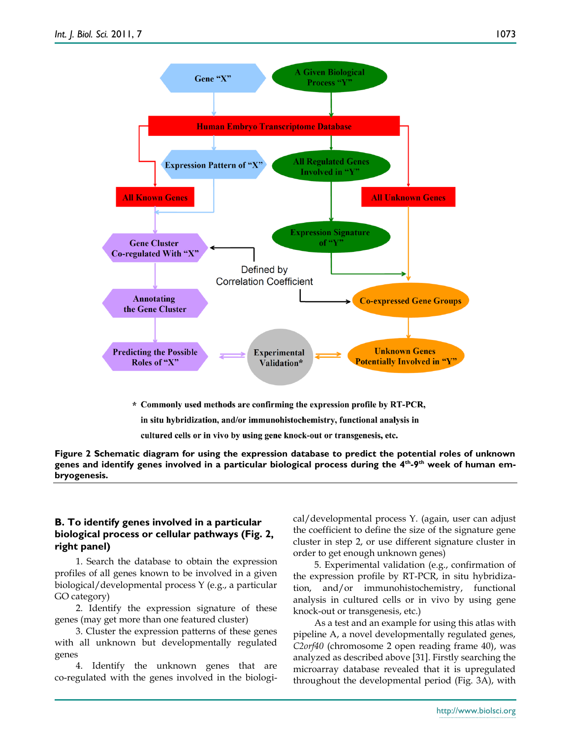

cultured cells or in vivo by using gene knock-out or transgenesis, etc.

**Figure 2 Schematic diagram for using the expression database to predict the potential roles of unknown genes and identify genes involved in a particular biological process during the 4th -9 th week of human embryogenesis.**

## **B. To identify genes involved in a particular biological process or cellular pathways (Fig. 2, right panel)**

1. Search the database to obtain the expression profiles of all genes known to be involved in a given biological/developmental process Y (e.g., a particular GO category)

2. Identify the expression signature of these genes (may get more than one featured cluster)

3. Cluster the expression patterns of these genes with all unknown but developmentally regulated genes

4. Identify the unknown genes that are co-regulated with the genes involved in the biological/developmental process Y. (again, user can adjust the coefficient to define the size of the signature gene cluster in step 2, or use different signature cluster in order to get enough unknown genes)

5. Experimental validation (e.g., confirmation of the expression profile by RT-PCR, in situ hybridization, and/or immunohistochemistry, functional analysis in cultured cells or in vivo by using gene knock-out or transgenesis, etc.)

As a test and an example for using this atlas with pipeline A, a novel developmentally regulated genes, *C2orf40* (chromosome 2 open reading frame 40), was analyzed as described above [31]. Firstly searching the microarray database revealed that it is upregulated throughout the developmental period (Fig. 3A), with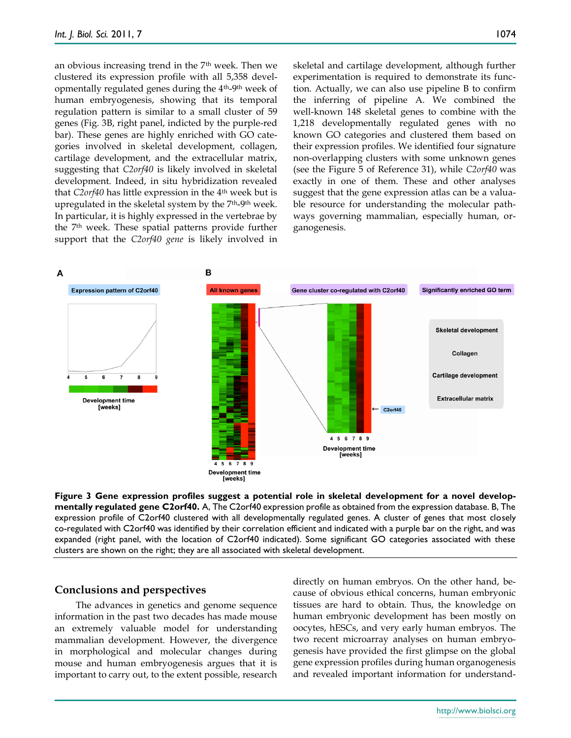an obvious increasing trend in the  $7<sup>th</sup>$  week. Then we clustered its expression profile with all 5,358 developmentally regulated genes during the 4<sup>th</sup>-9<sup>th</sup> week of human embryogenesis, showing that its temporal regulation pattern is similar to a small cluster of 59 genes (Fig. 3B, right panel, indicted by the purple-red bar). These genes are highly enriched with GO categories involved in skeletal development, collagen, cartilage development, and the extracellular matrix, suggesting that *C2orf40* is likely involved in skeletal development. Indeed, in situ hybridization revealed that *C2orf40* has little expression in the 4th week but is upregulated in the skeletal system by the 7<sup>th</sup>-9<sup>th</sup> week. In particular, it is highly expressed in the vertebrae by the 7th week. These spatial patterns provide further support that the *C2orf40 gene* is likely involved in

skeletal and cartilage development, although further experimentation is required to demonstrate its function. Actually, we can also use pipeline B to confirm the inferring of pipeline A. We combined the well-known 148 skeletal genes to combine with the 1,218 developmentally regulated genes with no known GO categories and clustered them based on their expression profiles. We identified four signature non-overlapping clusters with some unknown genes (see the Figure 5 of Reference 31), while *C2orf40* was exactly in one of them. These and other analyses suggest that the gene expression atlas can be a valuable resource for understanding the molecular pathways governing mammalian, especially human, organogenesis.



**Figure 3 Gene expression profiles suggest a potential role in skeletal development for a novel developmentally regulated gene C2orf40.** A, The C2orf40 expression profile as obtained from the expression database. B, The expression profile of C2orf40 clustered with all developmentally regulated genes. A cluster of genes that most closely co-regulated with C2orf40 was identified by their correlation efficient and indicated with a purple bar on the right, and was expanded (right panel, with the location of C2orf40 indicated). Some significant GO categories associated with these clusters are shown on the right; they are all associated with skeletal development.

#### **Conclusions and perspectives**

The advances in genetics and genome sequence information in the past two decades has made mouse an extremely valuable model for understanding mammalian development. However, the divergence in morphological and molecular changes during mouse and human embryogenesis argues that it is important to carry out, to the extent possible, research directly on human embryos. On the other hand, because of obvious ethical concerns, human embryonic tissues are hard to obtain. Thus, the knowledge on human embryonic development has been mostly on oocytes, hESCs, and very early human embryos. The two recent microarray analyses on human embryogenesis have provided the first glimpse on the global gene expression profiles during human organogenesis and revealed important information for understand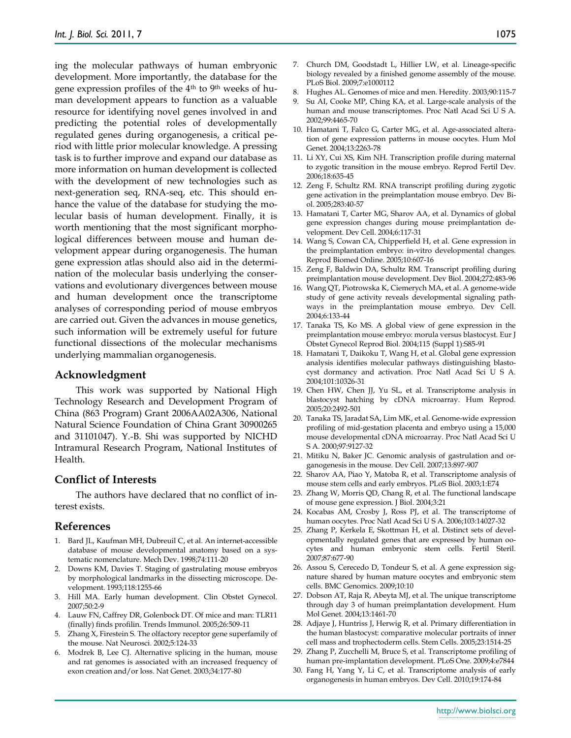ing the molecular pathways of human embryonic development. More importantly, the database for the gene expression profiles of the 4th to 9th weeks of human development appears to function as a valuable resource for identifying novel genes involved in and predicting the potential roles of developmentally regulated genes during organogenesis, a critical period with little prior molecular knowledge. A pressing task is to further improve and expand our database as more information on human development is collected with the development of new technologies such as next-generation seq, RNA-seq, etc. This should enhance the value of the database for studying the molecular basis of human development. Finally, it is worth mentioning that the most significant morphological differences between mouse and human development appear during organogenesis. The human gene expression atlas should also aid in the determination of the molecular basis underlying the conservations and evolutionary divergences between mouse and human development once the transcriptome analyses of corresponding period of mouse embryos are carried out. Given the advances in mouse genetics, such information will be extremely useful for future functional dissections of the molecular mechanisms underlying mammalian organogenesis.

#### **Acknowledgment**

This work was supported by National High Technology Research and Development Program of China (863 Program) Grant 2006AA02A306, National Natural Science Foundation of China Grant 30900265 and 31101047). Y.-B. Shi was supported by NICHD Intramural Research Program, National Institutes of Health.

#### **Conflict of Interests**

The authors have declared that no conflict of interest exists.

#### **References**

- 1. Bard JL, Kaufman MH, Dubreuil C, et al. An internet-accessible database of mouse developmental anatomy based on a systematic nomenclature. Mech Dev. 1998;74:111-20
- 2. Downs KM, Davies T. Staging of gastrulating mouse embryos by morphological landmarks in the dissecting microscope. Development. 1993;118:1255-66
- 3. Hill MA. Early human development. Clin Obstet Gynecol. 2007;50:2-9
- 4. Lauw FN, Caffrey DR, Golenbock DT. Of mice and man: TLR11 (finally) finds profilin. Trends Immunol. 2005;26:509-11
- 5. Zhang X, Firestein S. The olfactory receptor gene superfamily of the mouse. Nat Neurosci. 2002;5:124-33
- 6. Modrek B, Lee CJ. Alternative splicing in the human, mouse and rat genomes is associated with an increased frequency of exon creation and/or loss. Nat Genet. 2003;34:177-80
- 7. Church DM, Goodstadt L, Hillier LW, et al. Lineage-specific biology revealed by a finished genome assembly of the mouse. PLoS Biol. 2009;7:e1000112
- 8. Hughes AL. Genomes of mice and men. Heredity. 2003;90:115-7
- Su AI, Cooke MP, Ching KA, et al. Large-scale analysis of the human and mouse transcriptomes. Proc Natl Acad Sci U S A. 2002;99:4465-70
- 10. Hamatani T, Falco G, Carter MG, et al. Age-associated alteration of gene expression patterns in mouse oocytes. Hum Mol Genet. 2004;13:2263-78
- 11. Li XY, Cui XS, Kim NH. Transcription profile during maternal to zygotic transition in the mouse embryo. Reprod Fertil Dev. 2006;18:635-45
- 12. Zeng F, Schultz RM. RNA transcript profiling during zygotic gene activation in the preimplantation mouse embryo. Dev Biol. 2005;283:40-57
- 13. Hamatani T, Carter MG, Sharov AA, et al. Dynamics of global gene expression changes during mouse preimplantation development. Dev Cell. 2004;6:117-31
- 14. Wang S, Cowan CA, Chipperfield H, et al. Gene expression in the preimplantation embryo: in-vitro developmental changes. Reprod Biomed Online. 2005;10:607-16
- 15. Zeng F, Baldwin DA, Schultz RM. Transcript profiling during preimplantation mouse development. Dev Biol. 2004;272:483-96
- 16. Wang QT, Piotrowska K, Ciemerych MA, et al. A genome-wide study of gene activity reveals developmental signaling pathways in the preimplantation mouse embryo. Dev Cell. 2004;6:133-44
- 17. Tanaka TS, Ko MS. A global view of gene expression in the preimplantation mouse embryo: morula versus blastocyst. Eur J Obstet Gynecol Reprod Biol. 2004;115 (Suppl 1):S85-91
- 18. Hamatani T, Daikoku T, Wang H, et al. Global gene expression analysis identifies molecular pathways distinguishing blastocyst dormancy and activation. Proc Natl Acad Sci U S A. 2004;101:10326-31
- 19. Chen HW, Chen JJ, Yu SL, et al. Transcriptome analysis in blastocyst hatching by cDNA microarray. Hum Reprod. 2005;20:2492-501
- 20. Tanaka TS, Jaradat SA, Lim MK, et al. Genome-wide expression profiling of mid-gestation placenta and embryo using a 15,000 mouse developmental cDNA microarray. Proc Natl Acad Sci U S A. 2000;97:9127-32
- 21. Mitiku N, Baker JC. Genomic analysis of gastrulation and organogenesis in the mouse. Dev Cell. 2007;13:897-907
- 22. Sharov AA, Piao Y, Matoba R, et al. Transcriptome analysis of mouse stem cells and early embryos. PLoS Biol. 2003;1:E74
- 23. Zhang W, Morris QD, Chang R, et al. The functional landscape of mouse gene expression. J Biol. 2004;3:21
- 24. Kocabas AM, Crosby J, Ross PJ, et al. The transcriptome of human oocytes. Proc Natl Acad Sci U S A. 2006;103:14027-32
- 25. Zhang P, Kerkela E, Skottman H, et al. Distinct sets of developmentally regulated genes that are expressed by human oocytes and human embryonic stem cells. Fertil Steril. 2007;87:677-90
- 26. Assou S, Cerecedo D, Tondeur S, et al. A gene expression signature shared by human mature oocytes and embryonic stem cells. BMC Genomics. 2009;10:10
- 27. Dobson AT, Raja R, Abeyta MJ, et al. The unique transcriptome through day 3 of human preimplantation development. Hum Mol Genet. 2004;13:1461-70
- 28. Adjaye J, Huntriss J, Herwig R, et al. Primary differentiation in the human blastocyst: comparative molecular portraits of inner cell mass and trophectoderm cells. Stem Cells. 2005;23:1514-25
- 29. Zhang P, Zucchelli M, Bruce S, et al. Transcriptome profiling of human pre-implantation development. PLoS One. 2009;4:e7844
- 30. Fang H, Yang Y, Li C, et al. Transcriptome analysis of early organogenesis in human embryos. Dev Cell. 2010;19:174-84